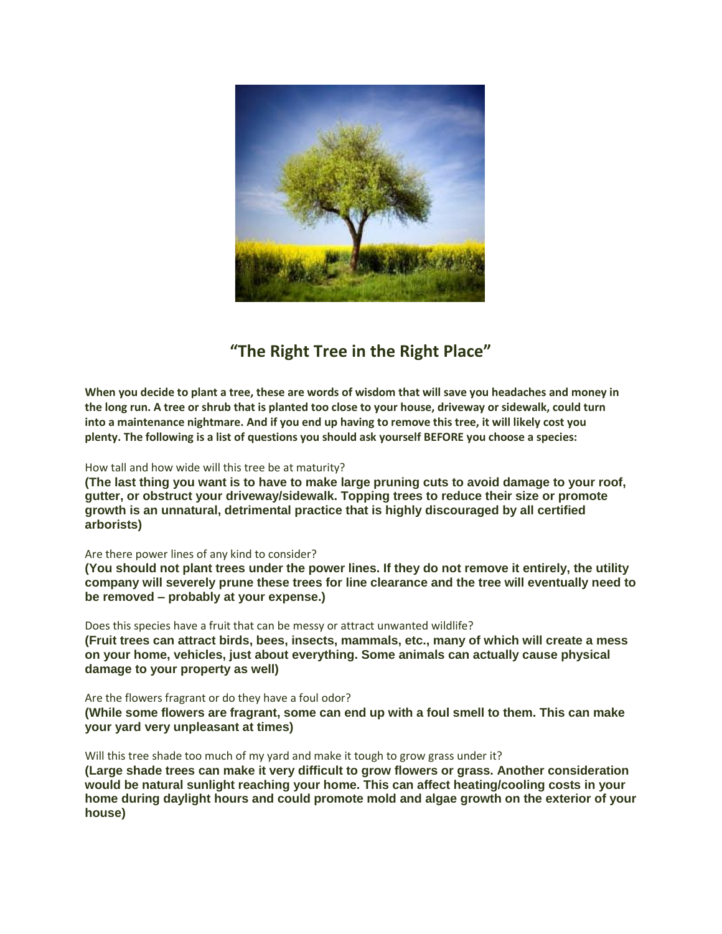

# **"The Right Tree in the Right Place"**

**When you decide to plant a tree, these are words of wisdom that will save you headaches and money in the long run. A tree or shrub that is planted too close to your house, driveway or sidewalk, could turn into a maintenance nightmare. And if you end up having to remove this tree, it will likely cost you plenty. The following is a list of questions you should ask yourself BEFORE you choose a species:**

## How tall and how wide will this tree be at maturity?

**(The last thing you want is to have to make large pruning cuts to avoid damage to your roof, gutter, or obstruct your driveway/sidewalk. Topping trees to reduce their size or promote growth is an unnatural, detrimental practice that is highly discouraged by all certified arborists)**

#### Are there power lines of any kind to consider?

**(You should not plant trees under the power lines. If they do not remove it entirely, the utility company will severely prune these trees for line clearance and the tree will eventually need to be removed – probably at your expense.)**

Does this species have a fruit that can be messy or attract unwanted wildlife?

**(Fruit trees can attract birds, bees, insects, mammals, etc., many of which will create a mess on your home, vehicles, just about everything. Some animals can actually cause physical damage to your property as well)**

#### Are the flowers fragrant or do they have a foul odor?

**(While some flowers are fragrant, some can end up with a foul smell to them. This can make your yard very unpleasant at times)**

Will this tree shade too much of my yard and make it tough to grow grass under it?

**(Large shade trees can make it very difficult to grow flowers or grass. Another consideration would be natural sunlight reaching your home. This can affect heating/cooling costs in your home during daylight hours and could promote mold and algae growth on the exterior of your house)**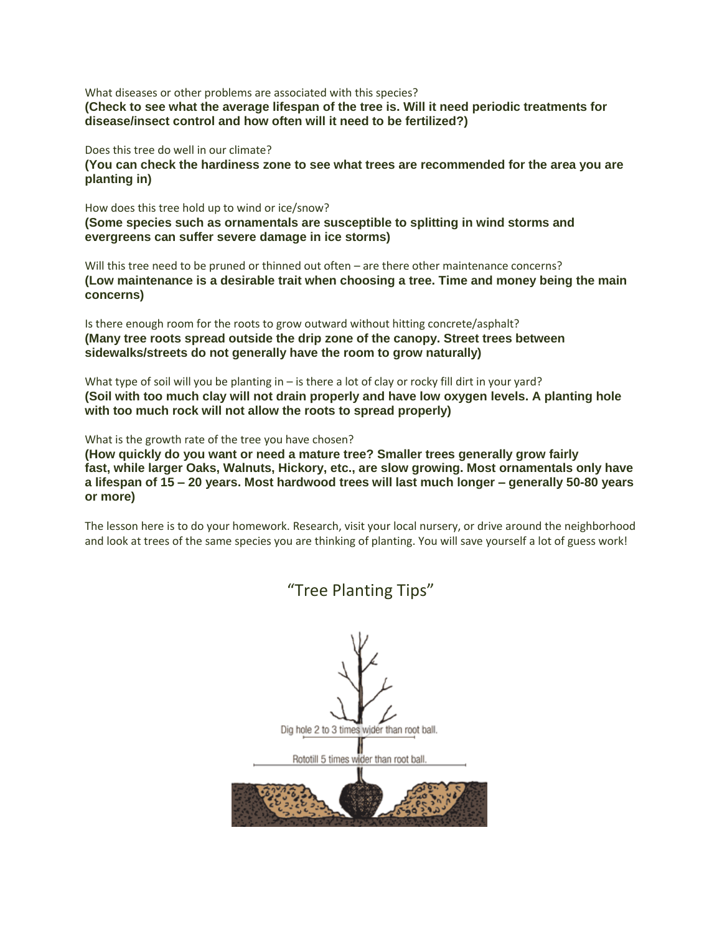What diseases or other problems are associated with this species? **(Check to see what the average lifespan of the tree is. Will it need periodic treatments for disease/insect control and how often will it need to be fertilized?)**

Does this tree do well in our climate?

**(You can check the hardiness zone to see what trees are recommended for the area you are planting in)**

How does this tree hold up to wind or ice/snow?

**(Some species such as ornamentals are susceptible to splitting in wind storms and evergreens can suffer severe damage in ice storms)**

Will this tree need to be pruned or thinned out often – are there other maintenance concerns? **(Low maintenance is a desirable trait when choosing a tree. Time and money being the main concerns)**

Is there enough room for the roots to grow outward without hitting concrete/asphalt? **(Many tree roots spread outside the drip zone of the canopy. Street trees between sidewalks/streets do not generally have the room to grow naturally)**

What type of soil will you be planting in – is there a lot of clay or rocky fill dirt in your yard? **(Soil with too much clay will not drain properly and have low oxygen levels. A planting hole with too much rock will not allow the roots to spread properly)**

What is the growth rate of the tree you have chosen?

**(How quickly do you want or need a mature tree? Smaller trees generally grow fairly fast, while larger Oaks, Walnuts, Hickory, etc., are slow growing. Most ornamentals only have a lifespan of 15 – 20 years. Most hardwood trees will last much longer – generally 50-80 years or more)**

The lesson here is to do your homework. Research, visit your local nursery, or drive around the neighborhood and look at trees of the same species you are thinking of planting. You will save yourself a lot of guess work!

> Dig hole 2 to 3 times wider than root ball. Rototill 5 times wider than root ball.

"Tree Planting Tips"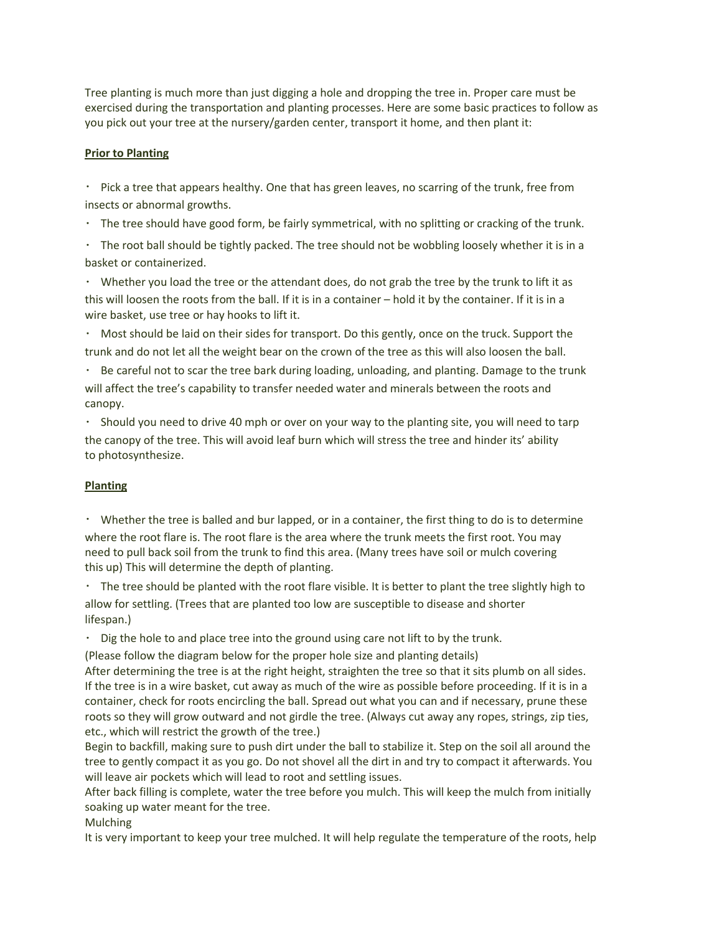Tree planting is much more than just digging a hole and dropping the tree in. Proper care must be exercised during the transportation and planting processes. Here are some basic practices to follow as you pick out your tree at the nursery/garden center, transport it home, and then plant it:

# **Prior to Planting**

Pick a tree that appears healthy. One that has green leaves, no scarring of the trunk, free from insects or abnormal growths.

The tree should have good form, be fairly symmetrical, with no splitting or cracking of the trunk.

 $\cdot$  The root ball should be tightly packed. The tree should not be wobbling loosely whether it is in a basket or containerized.

Whether you load the tree or the attendant does, do not grab the tree by the trunk to lift it as this will loosen the roots from the ball. If it is in a container – hold it by the container. If it is in a wire basket, use tree or hay hooks to lift it.

Most should be laid on their sides for transport. Do this gently, once on the truck. Support the trunk and do not let all the weight bear on the crown of the tree as this will also loosen the ball.

Be careful not to scar the tree bark during loading, unloading, and planting. Damage to the trunk will affect the tree's capability to transfer needed water and minerals between the roots and canopy.

Should you need to drive 40 mph or over on your way to the planting site, you will need to tarp the canopy of the tree. This will avoid leaf burn which will stress the tree and hinder its' ability to photosynthesize.

# **Planting**

Whether the tree is balled and bur lapped, or in a container, the first thing to do is to determine where the root flare is. The root flare is the area where the trunk meets the first root. You may need to pull back soil from the trunk to find this area. (Many trees have soil or mulch covering this up) This will determine the depth of planting.

The tree should be planted with the root flare visible. It is better to plant the tree slightly high to allow for settling. (Trees that are planted too low are susceptible to disease and shorter lifespan.)

 $\cdot$  Dig the hole to and place tree into the ground using care not lift to by the trunk.

(Please follow the diagram below for the proper hole size and planting details)

After determining the tree is at the right height, straighten the tree so that it sits plumb on all sides. If the tree is in a wire basket, cut away as much of the wire as possible before proceeding. If it is in a container, check for roots encircling the ball. Spread out what you can and if necessary, prune these roots so they will grow outward and not girdle the tree. (Always cut away any ropes, strings, zip ties, etc., which will restrict the growth of the tree.)

Begin to backfill, making sure to push dirt under the ball to stabilize it. Step on the soil all around the tree to gently compact it as you go. Do not shovel all the dirt in and try to compact it afterwards. You will leave air pockets which will lead to root and settling issues.

After back filling is complete, water the tree before you mulch. This will keep the mulch from initially soaking up water meant for the tree.

Mulching

It is very important to keep your tree mulched. It will help regulate the temperature of the roots, help